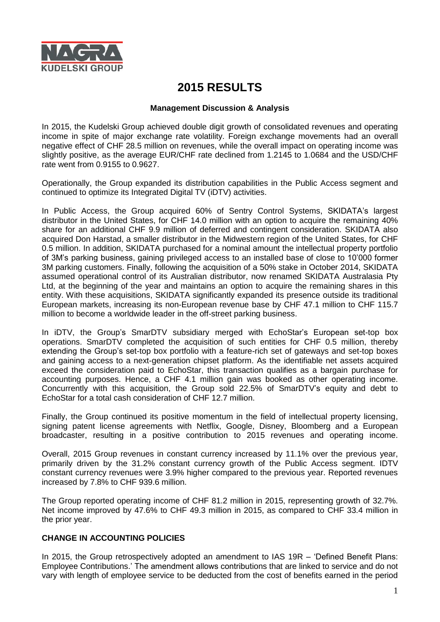

# **2015 RESULTS**

#### **Management Discussion & Analysis**

In 2015, the Kudelski Group achieved double digit growth of consolidated revenues and operating income in spite of major exchange rate volatility. Foreign exchange movements had an overall negative effect of CHF 28.5 million on revenues, while the overall impact on operating income was slightly positive, as the average EUR/CHF rate declined from 1.2145 to 1.0684 and the USD/CHF rate went from 0.9155 to 0.9627.

Operationally, the Group expanded its distribution capabilities in the Public Access segment and continued to optimize its Integrated Digital TV (iDTV) activities.

In Public Access, the Group acquired 60% of Sentry Control Systems, SKIDATA's largest distributor in the United States, for CHF 14.0 million with an option to acquire the remaining 40% share for an additional CHF 9.9 million of deferred and contingent consideration. SKIDATA also acquired Don Harstad, a smaller distributor in the Midwestern region of the United States, for CHF 0.5 million. In addition, SKIDATA purchased for a nominal amount the intellectual property portfolio of 3M's parking business, gaining privileged access to an installed base of close to 10'000 former 3M parking customers. Finally, following the acquisition of a 50% stake in October 2014, SKIDATA assumed operational control of its Australian distributor, now renamed SKIDATA Australasia Pty Ltd, at the beginning of the year and maintains an option to acquire the remaining shares in this entity. With these acquisitions, SKIDATA significantly expanded its presence outside its traditional European markets, increasing its non-European revenue base by CHF 47.1 million to CHF 115.7 million to become a worldwide leader in the off-street parking business.

In iDTV, the Group's SmarDTV subsidiary merged with EchoStar's European set-top box operations. SmarDTV completed the acquisition of such entities for CHF 0.5 million, thereby extending the Group's set-top box portfolio with a feature-rich set of gateways and set-top boxes and gaining access to a next-generation chipset platform. As the identifiable net assets acquired exceed the consideration paid to EchoStar, this transaction qualifies as a bargain purchase for accounting purposes. Hence, a CHF 4.1 million gain was booked as other operating income. Concurrently with this acquisition, the Group sold 22.5% of SmarDTV's equity and debt to EchoStar for a total cash consideration of CHF 12.7 million.

Finally, the Group continued its positive momentum in the field of intellectual property licensing, signing patent license agreements with Netflix, Google, Disney, Bloomberg and a European broadcaster, resulting in a positive contribution to 2015 revenues and operating income.

Overall, 2015 Group revenues in constant currency increased by 11.1% over the previous year, primarily driven by the 31.2% constant currency growth of the Public Access segment. IDTV constant currency revenues were 3.9% higher compared to the previous year. Reported revenues increased by 7.8% to CHF 939.6 million.

The Group reported operating income of CHF 81.2 million in 2015, representing growth of 32.7%. Net income improved by 47.6% to CHF 49.3 million in 2015, as compared to CHF 33.4 million in the prior year.

#### **CHANGE IN ACCOUNTING POLICIES**

In 2015, the Group retrospectively adopted an amendment to IAS 19R – 'Defined Benefit Plans: Employee Contributions.' The amendment allows contributions that are linked to service and do not vary with length of employee service to be deducted from the cost of benefits earned in the period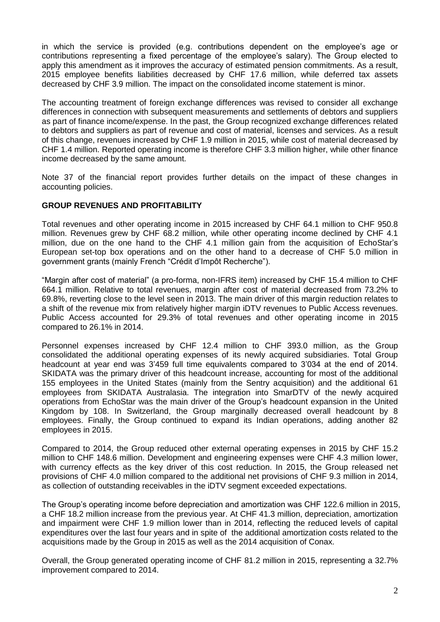in which the service is provided (e.g. contributions dependent on the employee's age or contributions representing a fixed percentage of the employee's salary). The Group elected to apply this amendment as it improves the accuracy of estimated pension commitments. As a result, 2015 employee benefits liabilities decreased by CHF 17.6 million, while deferred tax assets decreased by CHF 3.9 million. The impact on the consolidated income statement is minor.

The accounting treatment of foreign exchange differences was revised to consider all exchange differences in connection with subsequent measurements and settlements of debtors and suppliers as part of finance income/expense. In the past, the Group recognized exchange differences related to debtors and suppliers as part of revenue and cost of material, licenses and services. As a result of this change, revenues increased by CHF 1.9 million in 2015, while cost of material decreased by CHF 1.4 million. Reported operating income is therefore CHF 3.3 million higher, while other finance income decreased by the same amount.

Note 37 of the financial report provides further details on the impact of these changes in accounting policies.

#### **GROUP REVENUES AND PROFITABILITY**

Total revenues and other operating income in 2015 increased by CHF 64.1 million to CHF 950.8 million. Revenues grew by CHF 68.2 million, while other operating income declined by CHF 4.1 million, due on the one hand to the CHF 4.1 million gain from the acquisition of EchoStar's European set-top box operations and on the other hand to a decrease of CHF 5.0 million in government grants (mainly French "Crédit d'Impôt Recherche").

"Margin after cost of material" (a pro-forma, non-IFRS item) increased by CHF 15.4 million to CHF 664.1 million. Relative to total revenues, margin after cost of material decreased from 73.2% to 69.8%, reverting close to the level seen in 2013. The main driver of this margin reduction relates to a shift of the revenue mix from relatively higher margin iDTV revenues to Public Access revenues. Public Access accounted for 29.3% of total revenues and other operating income in 2015 compared to 26.1% in 2014.

Personnel expenses increased by CHF 12.4 million to CHF 393.0 million, as the Group consolidated the additional operating expenses of its newly acquired subsidiaries. Total Group headcount at year end was 3'459 full time equivalents compared to 3'034 at the end of 2014. SKIDATA was the primary driver of this headcount increase, accounting for most of the additional 155 employees in the United States (mainly from the Sentry acquisition) and the additional 61 employees from SKIDATA Australasia. The integration into SmarDTV of the newly acquired operations from EchoStar was the main driver of the Group's headcount expansion in the United Kingdom by 108. In Switzerland, the Group marginally decreased overall headcount by 8 employees. Finally, the Group continued to expand its Indian operations, adding another 82 employees in 2015.

Compared to 2014, the Group reduced other external operating expenses in 2015 by CHF 15.2 million to CHF 148.6 million. Development and engineering expenses were CHF 4.3 million lower, with currency effects as the key driver of this cost reduction. In 2015, the Group released net provisions of CHF 4.0 million compared to the additional net provisions of CHF 9.3 million in 2014, as collection of outstanding receivables in the iDTV segment exceeded expectations.

The Group's operating income before depreciation and amortization was CHF 122.6 million in 2015, a CHF 18.2 million increase from the previous year. At CHF 41.3 million, depreciation, amortization and impairment were CHF 1.9 million lower than in 2014, reflecting the reduced levels of capital expenditures over the last four years and in spite of the additional amortization costs related to the acquisitions made by the Group in 2015 as well as the 2014 acquisition of Conax.

Overall, the Group generated operating income of CHF 81.2 million in 2015, representing a 32.7% improvement compared to 2014.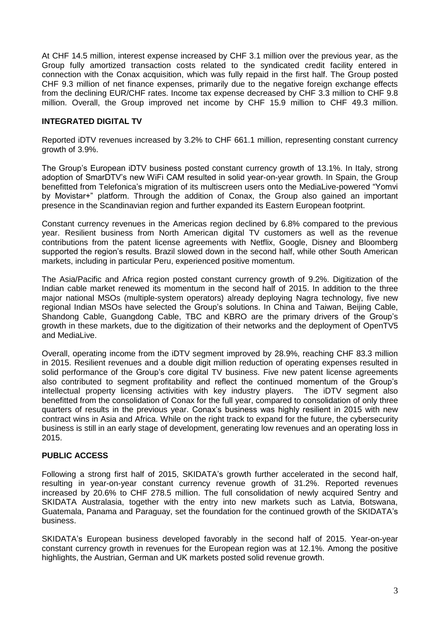At CHF 14.5 million, interest expense increased by CHF 3.1 million over the previous year, as the Group fully amortized transaction costs related to the syndicated credit facility entered in connection with the Conax acquisition, which was fully repaid in the first half. The Group posted CHF 9.3 million of net finance expenses, primarily due to the negative foreign exchange effects from the declining EUR/CHF rates. Income tax expense decreased by CHF 3.3 million to CHF 9.8 million. Overall, the Group improved net income by CHF 15.9 million to CHF 49.3 million.

#### **INTEGRATED DIGITAL TV**

Reported iDTV revenues increased by 3.2% to CHF 661.1 million, representing constant currency growth of 3.9%.

The Group's European iDTV business posted constant currency growth of 13.1%. In Italy, strong adoption of SmarDTV's new WiFi CAM resulted in solid year-on-year growth. In Spain, the Group benefitted from Telefonica's migration of its multiscreen users onto the MediaLive-powered "Yomvi by Movistar+" platform. Through the addition of Conax, the Group also gained an important presence in the Scandinavian region and further expanded its Eastern European footprint.

Constant currency revenues in the Americas region declined by 6.8% compared to the previous year. Resilient business from North American digital TV customers as well as the revenue contributions from the patent license agreements with Netflix, Google, Disney and Bloomberg supported the region's results. Brazil slowed down in the second half, while other South American markets, including in particular Peru, experienced positive momentum.

The Asia/Pacific and Africa region posted constant currency growth of 9.2%. Digitization of the Indian cable market renewed its momentum in the second half of 2015. In addition to the three major national MSOs (multiple-system operators) already deploying Nagra technology, five new regional Indian MSOs have selected the Group's solutions. In China and Taiwan, Beijing Cable, Shandong Cable, Guangdong Cable, TBC and KBRO are the primary drivers of the Group's growth in these markets, due to the digitization of their networks and the deployment of OpenTV5 and MediaLive.

Overall, operating income from the iDTV segment improved by 28.9%, reaching CHF 83.3 million in 2015. Resilient revenues and a double digit million reduction of operating expenses resulted in solid performance of the Group's core digital TV business. Five new patent license agreements also contributed to segment profitability and reflect the continued momentum of the Group's intellectual property licensing activities with key industry players. The iDTV segment also benefitted from the consolidation of Conax for the full year, compared to consolidation of only three quarters of results in the previous year. Conax's business was highly resilient in 2015 with new contract wins in Asia and Africa. While on the right track to expand for the future, the cybersecurity business is still in an early stage of development, generating low revenues and an operating loss in 2015.

#### **PUBLIC ACCESS**

Following a strong first half of 2015, SKIDATA's growth further accelerated in the second half, resulting in year-on-year constant currency revenue growth of 31.2%. Reported revenues increased by 20.6% to CHF 278.5 million. The full consolidation of newly acquired Sentry and SKIDATA Australasia, together with the entry into new markets such as Latvia, Botswana, Guatemala, Panama and Paraguay, set the foundation for the continued growth of the SKIDATA's business.

SKIDATA's European business developed favorably in the second half of 2015. Year-on-year constant currency growth in revenues for the European region was at 12.1%. Among the positive highlights, the Austrian, German and UK markets posted solid revenue growth.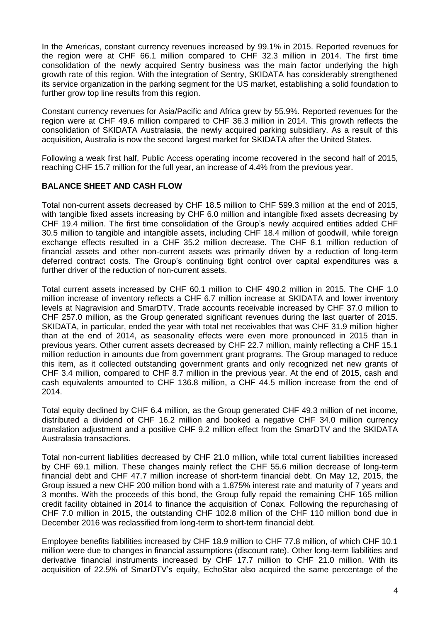In the Americas, constant currency revenues increased by 99.1% in 2015. Reported revenues for the region were at CHF 66.1 million compared to CHF 32.3 million in 2014. The first time consolidation of the newly acquired Sentry business was the main factor underlying the high growth rate of this region. With the integration of Sentry, SKIDATA has considerably strengthened its service organization in the parking segment for the US market, establishing a solid foundation to further grow top line results from this region.

Constant currency revenues for Asia/Pacific and Africa grew by 55.9%. Reported revenues for the region were at CHF 49.6 million compared to CHF 36.3 million in 2014. This growth reflects the consolidation of SKIDATA Australasia, the newly acquired parking subsidiary. As a result of this acquisition, Australia is now the second largest market for SKIDATA after the United States.

Following a weak first half, Public Access operating income recovered in the second half of 2015, reaching CHF 15.7 million for the full year, an increase of 4.4% from the previous year.

### **BALANCE SHEET AND CASH FLOW**

Total non-current assets decreased by CHF 18.5 million to CHF 599.3 million at the end of 2015, with tangible fixed assets increasing by CHF 6.0 million and intangible fixed assets decreasing by CHF 19.4 million. The first time consolidation of the Group's newly acquired entities added CHF 30.5 million to tangible and intangible assets, including CHF 18.4 million of goodwill, while foreign exchange effects resulted in a CHF 35.2 million decrease. The CHF 8.1 million reduction of financial assets and other non-current assets was primarily driven by a reduction of long-term deferred contract costs. The Group's continuing tight control over capital expenditures was a further driver of the reduction of non-current assets.

Total current assets increased by CHF 60.1 million to CHF 490.2 million in 2015. The CHF 1.0 million increase of inventory reflects a CHF 6.7 million increase at SKIDATA and lower inventory levels at Nagravision and SmarDTV. Trade accounts receivable increased by CHF 37.0 million to CHF 257.0 million, as the Group generated significant revenues during the last quarter of 2015. SKIDATA, in particular, ended the year with total net receivables that was CHF 31.9 million higher than at the end of 2014, as seasonality effects were even more pronounced in 2015 than in previous years. Other current assets decreased by CHF 22.7 million, mainly reflecting a CHF 15.1 million reduction in amounts due from government grant programs. The Group managed to reduce this item, as it collected outstanding government grants and only recognized net new grants of CHF 3.4 million, compared to CHF 8.7 million in the previous year. At the end of 2015, cash and cash equivalents amounted to CHF 136.8 million, a CHF 44.5 million increase from the end of 2014.

Total equity declined by CHF 6.4 million, as the Group generated CHF 49.3 million of net income, distributed a dividend of CHF 16.2 million and booked a negative CHF 34.0 million currency translation adjustment and a positive CHF 9.2 million effect from the SmarDTV and the SKIDATA Australasia transactions.

Total non-current liabilities decreased by CHF 21.0 million, while total current liabilities increased by CHF 69.1 million. These changes mainly reflect the CHF 55.6 million decrease of long-term financial debt and CHF 47.7 million increase of short-term financial debt. On May 12, 2015, the Group issued a new CHF 200 million bond with a 1.875% interest rate and maturity of 7 years and 3 months. With the proceeds of this bond, the Group fully repaid the remaining CHF 165 million credit facility obtained in 2014 to finance the acquisition of Conax. Following the repurchasing of CHF 7.0 million in 2015, the outstanding CHF 102.8 million of the CHF 110 million bond due in December 2016 was reclassified from long-term to short-term financial debt.

Employee benefits liabilities increased by CHF 18.9 million to CHF 77.8 million, of which CHF 10.1 million were due to changes in financial assumptions (discount rate). Other long-term liabilities and derivative financial instruments increased by CHF 17.7 million to CHF 21.0 million. With its acquisition of 22.5% of SmarDTV's equity, EchoStar also acquired the same percentage of the